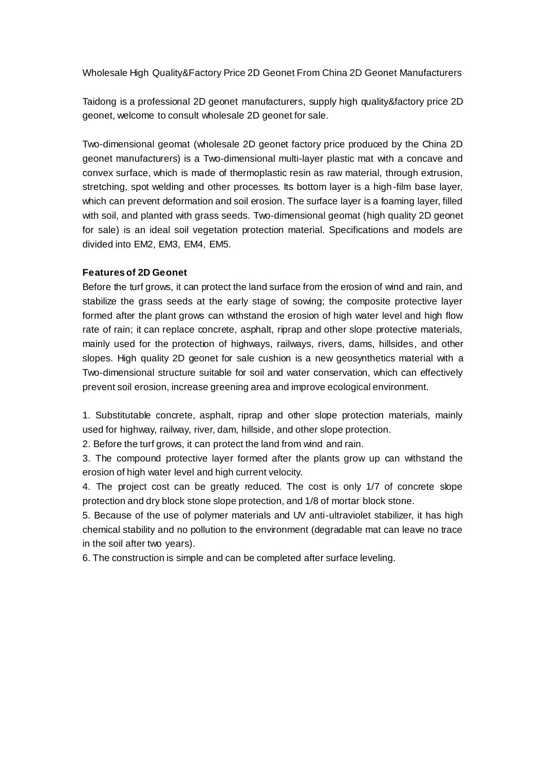Wholesale High Quality&Factory Price 2D Geonet From China 2D Geonet Manufacturers

Taidong is a professional 2D geonet manufacturers, supply high quality&factory price 2D geonet, welcome to consult wholesale 2D geonet for sale.

Two-dimensional geomat (wholesale 2D geonet factory price produced by the China 2D geonet manufacturers) is a Two-dimensional multi-layer plastic mat with a concave and convex surface, which is made of thermoplastic resin as raw material, through extrusion, stretching, spot welding and other processes. Its bottom layer is a high-film base layer, which can prevent deformation and soil erosion. The surface layer is a foaming layer, filled with soil, and planted with grass seeds. Two-dimensional geomat (high quality 2D geonet for sale) is an ideal soil vegetation protection material. Specifications and models are divided into EM2, EM3, EM4, EM5.

## **Features of 2D Geonet**

Before the turf grows, it can protect the land surface from the erosion of wind and rain, and stabilize the grass seeds at the early stage of sowing; the composite protective layer formed after the plant grows can withstand the erosion of high water level and high flow rate of rain; it can replace concrete, asphalt, riprap and other slope protective materials, mainly used for the protection of highways, railways, rivers, dams, hillsides, and other slopes. High quality 2D geonet for sale cushion is a new geosynthetics material with a Two-dimensional structure suitable for soil and water conservation, which can effectively prevent soil erosion, increase greening area and improve ecological environment.

1. Substitutable concrete, asphalt, riprap and other slope protection materials, mainly used for highway, railway, river, dam, hillside, and other slope protection.

2. Before the turf grows, it can protect the land from wind and rain.

3. The compound protective layer formed after the plants grow up can withstand the erosion of high water level and high current velocity.

4. The project cost can be greatly reduced. The cost is only 1/7 of concrete slope protection and dry block stone slope protection, and 1/8 of mortar block stone.

5. Because of the use of polymer materials and UV anti-ultraviolet stabilizer, it has high chemical stability and no pollution to the environment (degradable mat can leave no trace in the soil after two years).

6. The construction is simple and can be completed after surface leveling.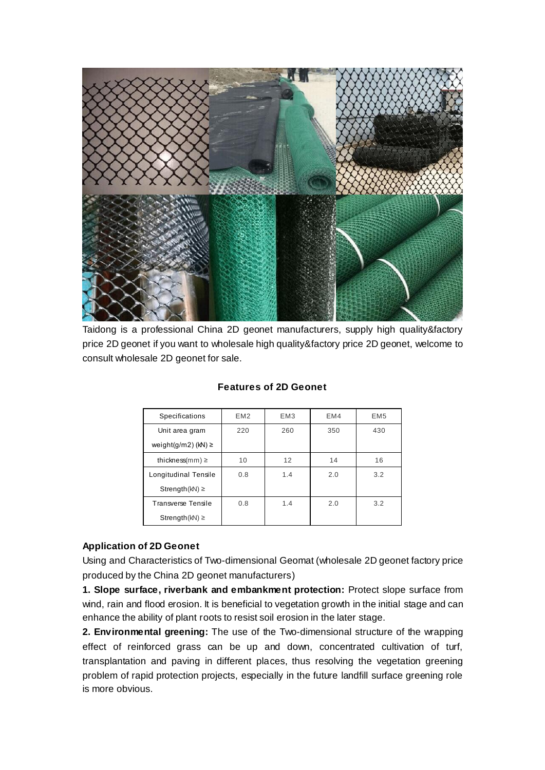

Taidong is a professional China 2D geonet manufacturers, supply high quality&factory price 2D geonet if you want to wholesale high quality&factory price 2D geonet, welcome to consult wholesale 2D geonet for sale.

| <b>Specifications</b>   | EM <sub>2</sub> | EM <sub>3</sub> | EM4 | EM <sub>5</sub> |
|-------------------------|-----------------|-----------------|-----|-----------------|
| Unit area gram          | 220             | 260             | 350 | 430             |
| weight(g/m2) (kN) $\ge$ |                 |                 |     |                 |
| thickness(mm) $\geq$    | 10              | 12              | 14  | 16              |
| Longitudinal Tensile    | 0.8             | 1.4             | 2.0 | 3.2             |
| Strength( $kN$ ) $\geq$ |                 |                 |     |                 |
| Transverse Tensile      | 0.8             | 1.4             | 2.0 | 3.2             |
| Strength( $kN$ ) $\geq$ |                 |                 |     |                 |

## **Features of 2D Geonet**

## **Application of 2D Geonet**

Using and Characteristics of Two-dimensional Geomat (wholesale 2D geonet factory price produced by the China 2D geonet manufacturers)

**1. Slope surface, riverbank and embankment protection:** Protect slope surface from wind, rain and flood erosion. It is beneficial to vegetation growth in the initial stage and can enhance the ability of plant roots to resist soil erosion in the later stage.

**2. Environmental greening:** The use of the Two-dimensional structure of the wrapping effect of reinforced grass can be up and down, concentrated cultivation of turf, transplantation and paving in different places, thus resolving the vegetation greening problem of rapid protection projects, especially in the future landfill surface greening role is more obvious.